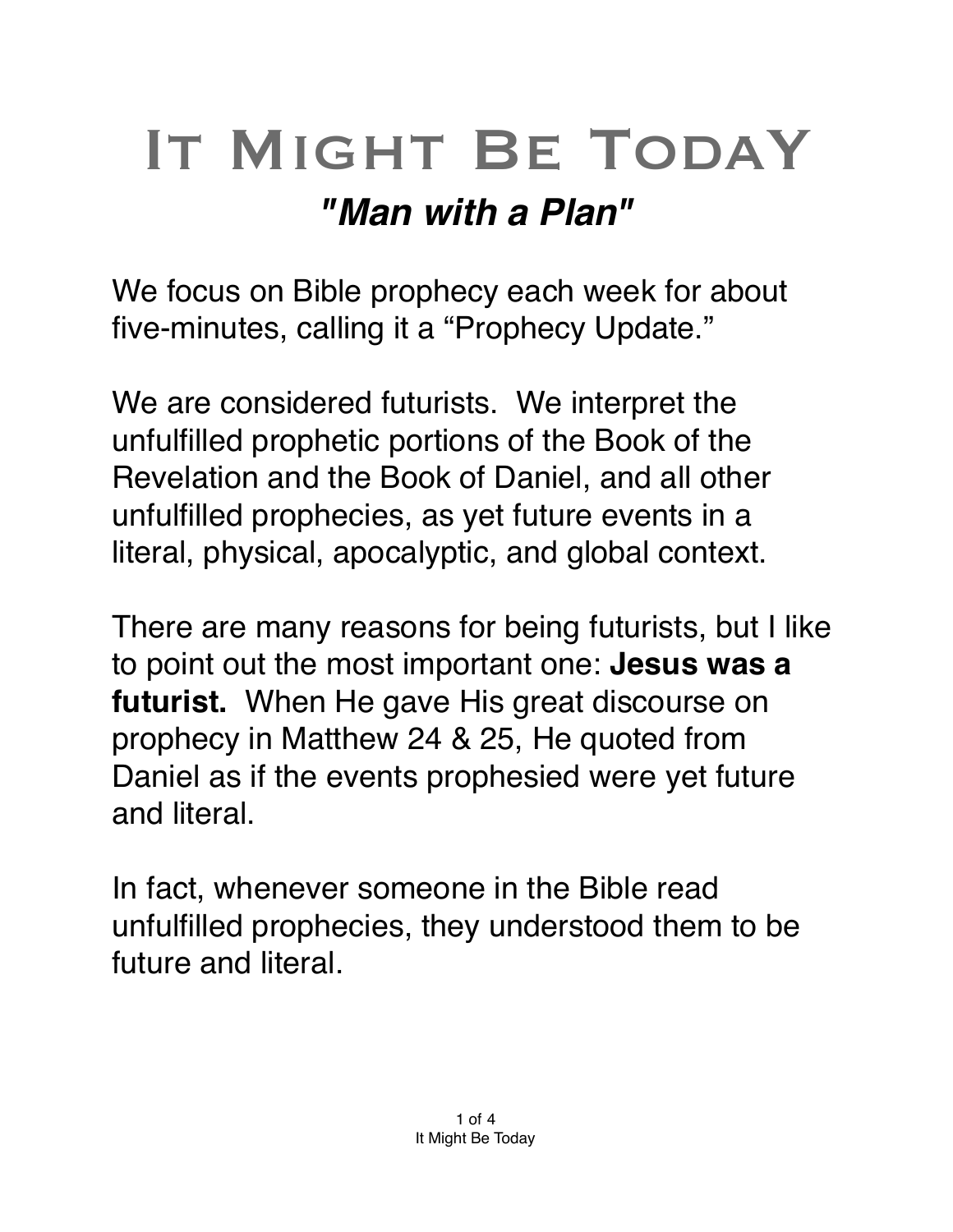## IT MIGHT BE TODAY *"Man with a Plan"*

We focus on Bible prophecy each week for about five-minutes, calling it a "Prophecy Update."

We are considered futurists. We interpret the unfulfilled prophetic portions of the Book of the Revelation and the Book of Daniel, and all other unfulfilled prophecies, as yet future events in a literal, physical, [apocalyptic](https://en.m.wikipedia.org/wiki/Apocalypticism), and global context.

There are many reasons for being futurists, but I like to point out the most important one: **Jesus was a futurist.** When He gave His great discourse on prophecy in Matthew 24 & 25, He quoted from Daniel as if the events prophesied were yet future and literal.

In fact, whenever someone in the Bible read unfulfilled prophecies, they understood them to be future and literal.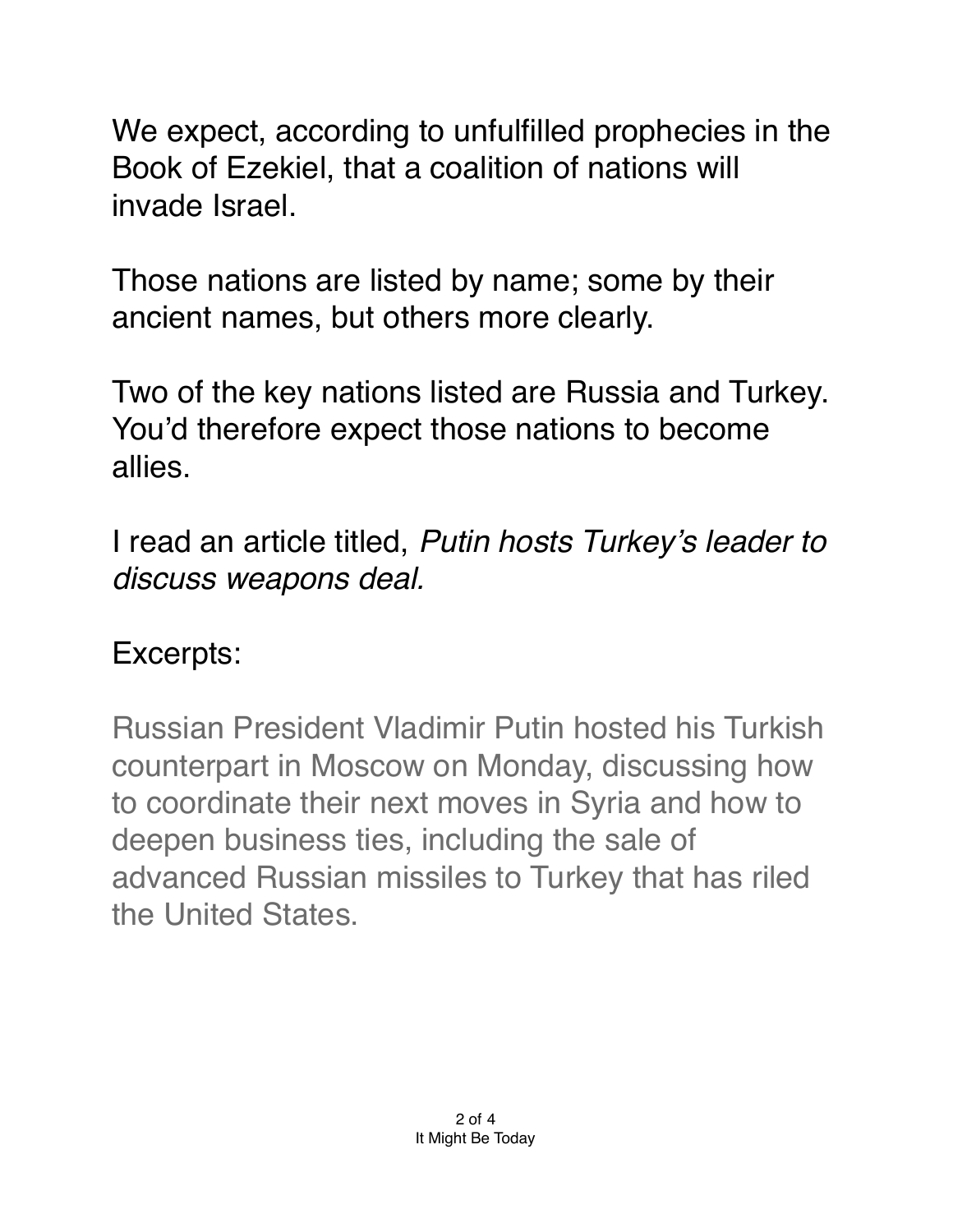We expect, according to unfulfilled prophecies in the Book of Ezekiel, that a coalition of nations will invade Israel.

Those nations are listed by name; some by their ancient names, but others more clearly.

Two of the key nations listed are Russia and Turkey. You'd therefore expect those nations to become allies.

I read an article titled, *Putin hosts Turkey's leader to discuss weapons deal.*

## Excerpts:

Russian President Vladimir Putin hosted his Turkish counterpart in Moscow on Monday, discussing how to coordinate their next moves in Syria and how to deepen business ties, including the sale of advanced Russian missiles to Turkey that has riled the United States.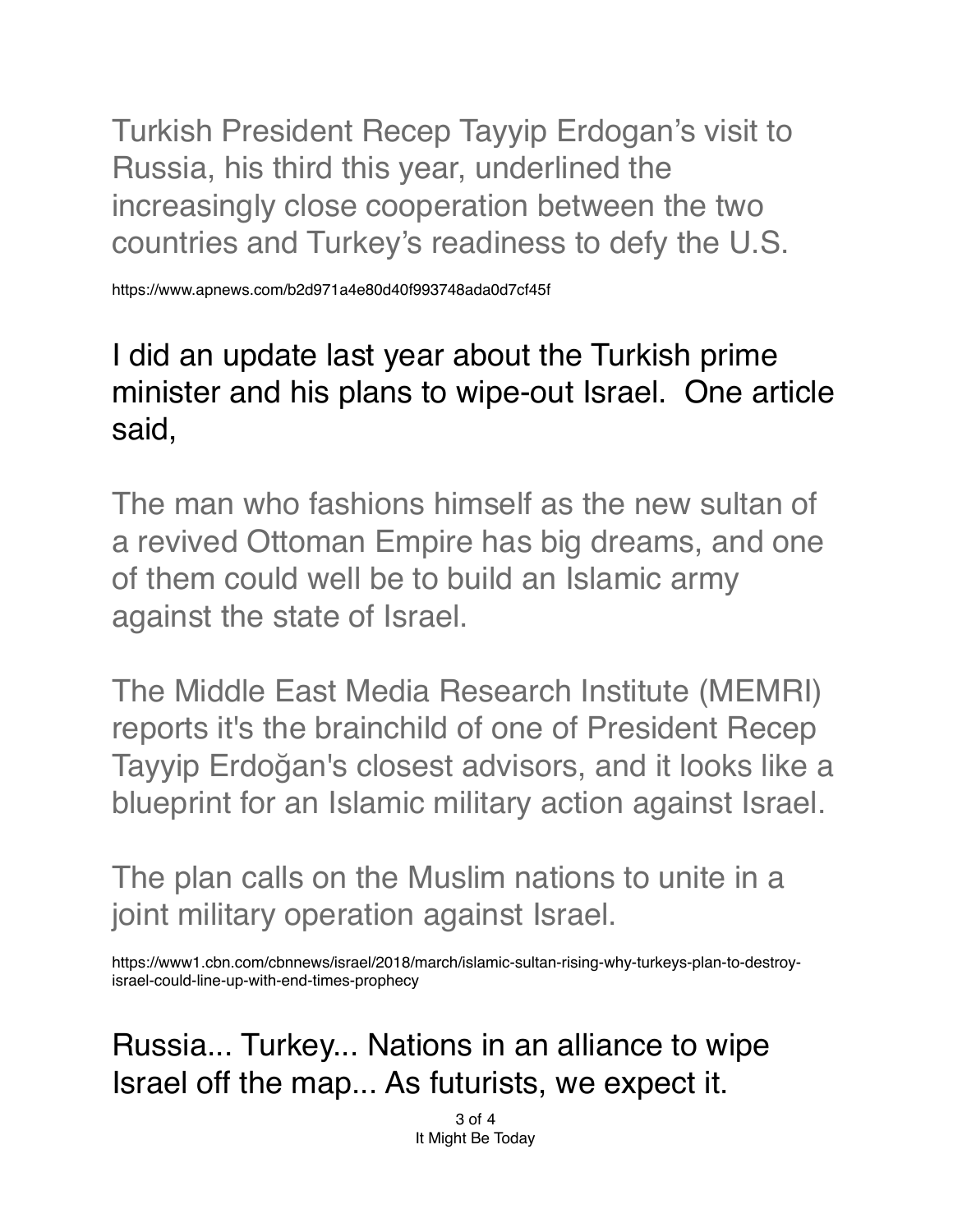Turkish President Recep Tayyip Erdogan's visit to Russia, his third this year, underlined the increasingly close cooperation between the two countries and Turkey's readiness to defy the U.S.

https://www.apnews.com/b2d971a4e80d40f993748ada0d7cf45f

## I did an update last year about the Turkish prime minister and his plans to wipe-out Israel. One article said,

The man who fashions himself as the new sultan of a revived Ottoman Empire has big dreams, and one of them could well be to build an Islamic army against the state of Israel.

The Middle East Media Research Institute (MEMRI) reports it's the brainchild of one of President Recep Tayyip Erdoğan's closest advisors, and it looks like a blueprint for an Islamic military action against Israel.

The plan calls on the Muslim nations to unite in a joint military operation against Israel.

https://www1.cbn.com/cbnnews/israel/2018/march/islamic-sultan-rising-why-turkeys-plan-to-destroyisrael-could-line-up-with-end-times-prophecy

Russia... Turkey... Nations in an alliance to wipe Israel off the map... As futurists, we expect it.

> 3 of 4 It Might Be Today